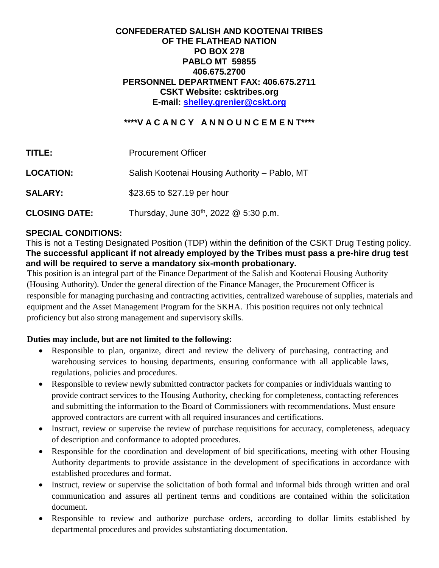### **CONFEDERATED SALISH AND KOOTENAI TRIBES OF THE FLATHEAD NATION PO BOX 278 PABLO MT 59855 406.675.2700 PERSONNEL DEPARTMENT FAX: 406.675.2711 CSKT Website: csktribes.org E-mail: [shelley.grenier@cskt.org](mailto:shelley.grenier@cskt.org)**

### **\*\*\*\*V A C A N C Y A N N O U N C E M E N T\*\*\*\***

| TITLE:               | <b>Procurement Officer</b>                         |
|----------------------|----------------------------------------------------|
| <b>LOCATION:</b>     | Salish Kootenai Housing Authority – Pablo, MT      |
| <b>SALARY:</b>       | \$23.65 to \$27.19 per hour                        |
| <b>CLOSING DATE:</b> | Thursday, June 30 <sup>th</sup> , 2022 @ 5:30 p.m. |

### **SPECIAL CONDITIONS:**

This is not a Testing Designated Position (TDP) within the definition of the CSKT Drug Testing policy. **The successful applicant if not already employed by the Tribes must pass a pre-hire drug test and will be required to serve a mandatory six-month probationary.**

This position is an integral part of the Finance Department of the Salish and Kootenai Housing Authority (Housing Authority). Under the general direction of the Finance Manager, the Procurement Officer is responsible for managing purchasing and contracting activities, centralized warehouse of supplies, materials and equipment and the Asset Management Program for the SKHA. This position requires not only technical proficiency but also strong management and supervisory skills.

### **Duties may include, but are not limited to the following:**

- Responsible to plan, organize, direct and review the delivery of purchasing, contracting and warehousing services to housing departments, ensuring conformance with all applicable laws, regulations, policies and procedures.
- Responsible to review newly submitted contractor packets for companies or individuals wanting to provide contract services to the Housing Authority, checking for completeness, contacting references and submitting the information to the Board of Commissioners with recommendations. Must ensure approved contractors are current with all required insurances and certifications.
- Instruct, review or supervise the review of purchase requisitions for accuracy, completeness, adequacy of description and conformance to adopted procedures.
- Responsible for the coordination and development of bid specifications, meeting with other Housing Authority departments to provide assistance in the development of specifications in accordance with established procedures and format.
- Instruct, review or supervise the solicitation of both formal and informal bids through written and oral communication and assures all pertinent terms and conditions are contained within the solicitation document.
- Responsible to review and authorize purchase orders, according to dollar limits established by departmental procedures and provides substantiating documentation.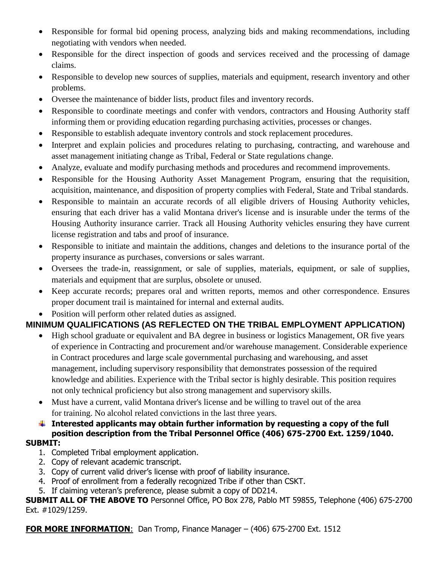- Responsible for formal bid opening process, analyzing bids and making recommendations, including negotiating with vendors when needed.
- Responsible for the direct inspection of goods and services received and the processing of damage claims.
- Responsible to develop new sources of supplies, materials and equipment, research inventory and other problems.
- Oversee the maintenance of bidder lists, product files and inventory records.
- Responsible to coordinate meetings and confer with vendors, contractors and Housing Authority staff informing them or providing education regarding purchasing activities, processes or changes.
- Responsible to establish adequate inventory controls and stock replacement procedures.
- Interpret and explain policies and procedures relating to purchasing, contracting, and warehouse and asset management initiating change as Tribal, Federal or State regulations change.
- Analyze, evaluate and modify purchasing methods and procedures and recommend improvements.
- Responsible for the Housing Authority Asset Management Program, ensuring that the requisition, acquisition, maintenance, and disposition of property complies with Federal, State and Tribal standards.
- Responsible to maintain an accurate records of all eligible drivers of Housing Authority vehicles, ensuring that each driver has a valid Montana driver's license and is insurable under the terms of the Housing Authority insurance carrier. Track all Housing Authority vehicles ensuring they have current license registration and tabs and proof of insurance.
- Responsible to initiate and maintain the additions, changes and deletions to the insurance portal of the property insurance as purchases, conversions or sales warrant.
- Oversees the trade-in, reassignment, or sale of supplies, materials, equipment, or sale of supplies, materials and equipment that are surplus, obsolete or unused.
- Keep accurate records; prepares oral and written reports, memos and other correspondence. Ensures proper document trail is maintained for internal and external audits.
- Position will perform other related duties as assigned.

## **MINIMUM QUALIFICATIONS (AS REFLECTED ON THE TRIBAL EMPLOYMENT APPLICATION)**

- High school graduate or equivalent and BA degree in business or logistics Management, OR five years of experience in Contracting and procurement and/or warehouse management. Considerable experience in Contract procedures and large scale governmental purchasing and warehousing, and asset management, including supervisory responsibility that demonstrates possession of the required knowledge and abilities. Experience with the Tribal sector is highly desirable. This position requires not only technical proficiency but also strong management and supervisory skills.
- Must have a current, valid Montana driver's license and be willing to travel out of the area for training. No alcohol related convictions in the last three years.

## **Interested applicants may obtain further information by requesting a copy of the full position description from the Tribal Personnel Office (406) 675-2700 Ext. 1259/1040.**

### **SUBMIT:**

- 1. Completed Tribal employment application.
- 2. Copy of relevant academic transcript.
- 3. Copy of current valid driver's license with proof of liability insurance.
- 4. Proof of enrollment from a federally recognized Tribe if other than CSKT.
- 5. If claiming veteran's preference, please submit a copy of DD214.

**SUBMIT ALL OF THE ABOVE TO** Personnel Office, PO Box 278, Pablo MT 59855, Telephone (406) 675-2700 Ext. #1029/1259.

**FOR MORE INFORMATION**: Dan Tromp, Finance Manager – (406) 675-2700 Ext. 1512